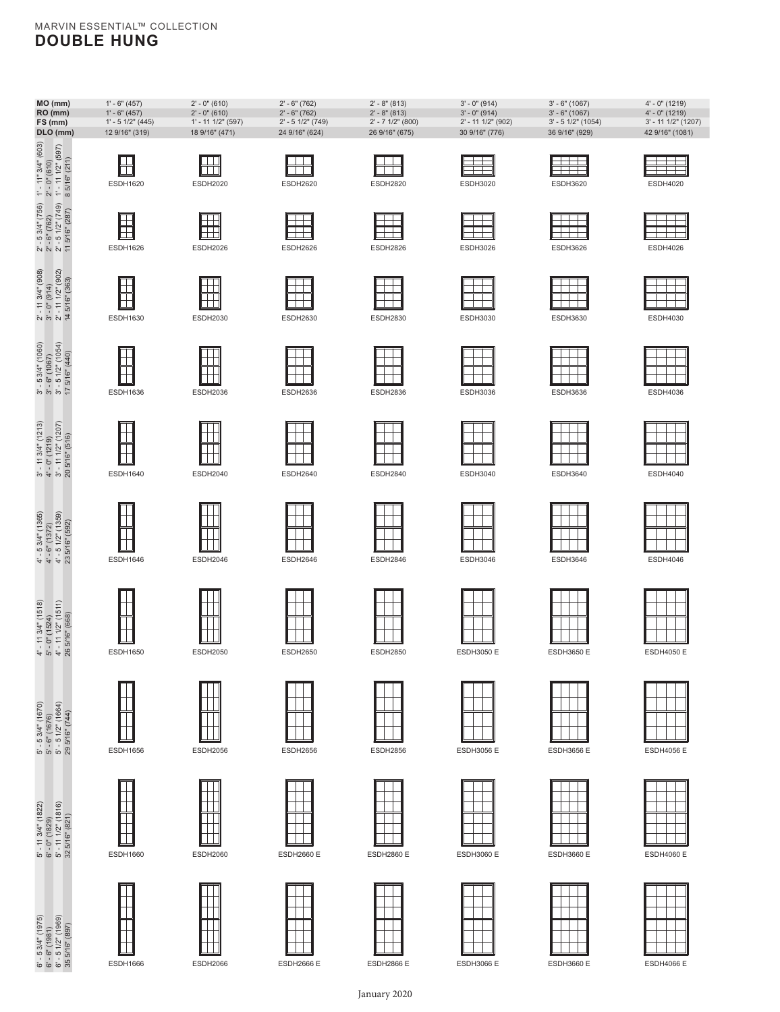#### MARVIN ESSENTIAL™ COLLECTION **DOUBLE HUNG**

**ESDH1620** 

 $\boxplus$ 

ESDH1626

 $\blacksquare$ 

ESDH1630

 $\Box$ 

ESDH1636

 $\Box$ 

Ħ

ESDH1640

Ē

 $\Box$ 

ESDH1660

T

Τ

Τ

ESDH1666 ESDH2066

ESDH1656

 $\perp$  $\mathbb {H}$ 

 $\Box$ 

 $\Box$ 

ESDH1650

 $\top$ 

 $\perp$ 

ESDH1646

Ī

 $\overline{\phantom{a}}$ 

6"-5 34" (1975) 5"- 11 34" (1822) 5"-5 34" (1670) 4"-11 34" (1518) 4"-5 34" (1865) 3"-5 34" (1860) 2"-11 34" (080) 2"-5 34" (768) 1"-11" 34" (080)<br>6"-6" (1981) 6"-0" (1829) 5"-6" (1676) 5"-0" (1524) 4"-6" (1722) 4"-0" (121

 $4^{\circ}$  - 11 3/4" (1518)<br>5' - 0" (1524)<br>4' - 11 1/2" (1511)<br>26 5/16" (668)

5' - 5 3(4" (1670)<br>5' - 6" (1676)<br>5' - 5 1/2" (1664)<br>29 5/16" (744)

5' - 11 3/4" (1822)<br>6' - 0" (1829)<br>5' - 11 1/2" (1816)<br>32 5/16" (821)

 $6'$  -  $5$   $3/4''$  (1975)<br> $6'$  -  $6''$  (1981)<br> $6'$  -  $5$  1/2" (1969)<br> $35$   $5/16''$  (897)

 $4' - 53/4'' (1365)$ <br> $4' - 6'' (1372)$ <br> $4' - 5 1/2'' (1359)$ <br> $23.5/16'' (592)$ 

 $2^1 - 11344^4$  (908)<br>  $3^1 - 0$ " (914)<br>  $2^1 - 1112^4$  (902)<br>
14 5/16" (363)

 $\begin{array}{l} 3' \text{ - } 5 \text{ 3/4" (1060)} \\ 3' \text{ - } 6" (1067) \\ 3' \text{ - } 5 \text{ 1/2" (1054)} \\ 17 \text{ 5/16" (440)} \end{array}$ 

 $\begin{array}{l} 3' \cdot 11 \; 3/4" \; (1213) \\ 4' \cdot 0" \; (1219) \\ 3' \cdot 11 \; 1/2" \; (1207) \\ 20 \; 5/16" \; (516) \end{array}$ 



ESDH2020 ESDH2620

 $\boxplus$ 

 $\Box \vdash$ Ħ

 $\boxplus$ 

厝

 $\blacksquare$ 

 $\Box$ 

T

H

 $\perp$  $\mathbf{1}$ 

 $\mathbf{L}$ 

 $\mathbb{L}$  $\mathbb T$ 

T

 $\blacksquare$ 

 $\Box$ 

 $\Box$ 

┯

 $\Box$ 

 $\top$  $\mathbf{1}$ 

ESDH2026 ESDH2626

ESDH2030 ESDH2630









**MO (mm)** 1' - 6" (457) 2' - 0" (610) 2' - 6" (762) 2' - 8" (813) 3' - 0" (914) 3' - 6" (1067) 4' - 0" (1219) **RO (mm)** 1' - 6" (457) 2' - 0" (610) 2' - 6" (762) 2' - 8" (813) 3' - 0" (914) 3' - 6" (1067) 4' - 0" (1219) **FS (mm)** 1' - 5 1/2" (445) 1' - 11 1/2" (597) 2' - 5 1/2" (749) 2' - 7 1/2" (800) 2' - 11 1/2" (902) 3' - 5 1/2" (1054) 3' - 11 1/2" (1207) **DLO (mm)** 12 9/16" (319) 18 9/16" (471) 24 9/16" (624) 26 9/16" (675) 30 9/16" (776) 36 9/16" (929) 42 9/16" (1081)

**ESDH2820** 

 $\boxplus$ 

ESDH3020

ESDH3026

ESDH3030

 $\Box$ 

ESDH3036

ESDH3040

 $\top$ 

ESDH2826

ESDH2830

 $\Box$ 

F

ESDH2836

FTF















ESDH3056 E



ESDH3060 E





 $\Box$ 

ESDH2060 ESDH2660 E

ESDH2056 ESDH2656

ESDH2050 ESDH2650

ESDH2046 ESDH2646

ESDH2856

ESDH2850

ESDH3650 E





ESDH4050 E

ESDH4046

ESDH4020

 $\frac{1}{1}$ 

ESDH4026

ESDH4030

 $\pm$ 

ESDH4036

ESDH4040

 $\pm$ 



ESDH4056 E



ESDH4060 E

ESDH3620

F

ESDH3626

ESDH3630

ESDH3636

 $\pm$   $\pm$ ESDH3640

ESDH3646



ESDH4066 E

ESDH2860 E





ESDH2866 E

January 2020



























ESDH3656 E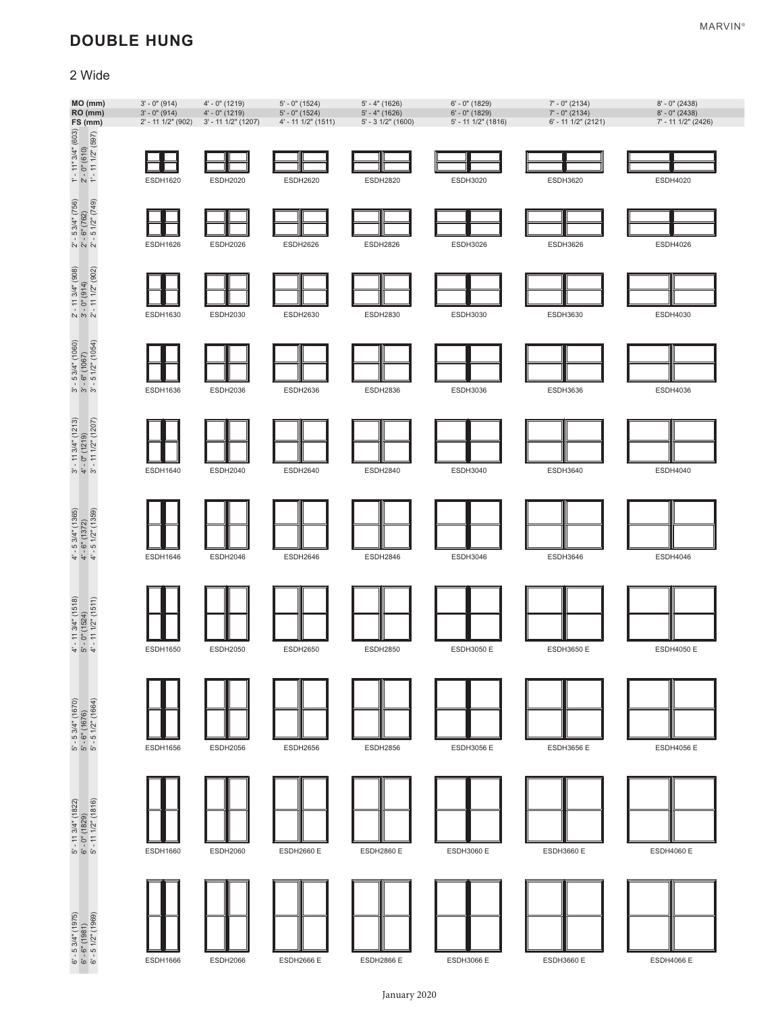# **DOUBLE HUNG**

## 2 Wide

| MO (mm)<br>RO (mm)<br>FS (mm)                                                                                         | $3' - 0''$ (914)<br>$3' - 0''$ (914)<br>2' - 11 1/2" (902) | 4' - 0" (1219)<br>4' - 0" (1219)<br>3' - 11 1/2" (1207) | $5' - 0''$ (1524)<br>$5'$ - $0''$ (1524)<br>4' - 11 1/2" (1511) | $5' - 4''$ (1626)<br>$5' - 4''$ (1626)<br>$5' - 31/2" (1600)$ | $6'$ - $0''$ (1829)<br>$6'$ - $0''$ (1829)<br>5' - 11 1/2" (1816) | 7' - 0" (2134)<br>7' - 0" (2134)<br>6' - 11 1/2" (2121) | 8' - 0" (2438)<br>8' - 0" (2438)<br>7' - 11 1/2" (2426) |
|-----------------------------------------------------------------------------------------------------------------------|------------------------------------------------------------|---------------------------------------------------------|-----------------------------------------------------------------|---------------------------------------------------------------|-------------------------------------------------------------------|---------------------------------------------------------|---------------------------------------------------------|
| $\begin{array}{ll} 1' & -11'' & 3/4'' & (603) \\ 2' & -0'' & (610) \\ 2' & -11 & 1/2'' & (597) \\ \end{array}$        | <b>ESDH1620</b>                                            | <b>ESDH2020</b>                                         | <b>ESDH2620</b>                                                 | <b>ESDH2820</b>                                               | <b>ESDH3020</b>                                                   | <b>ESDH3620</b>                                         | <b>ESDH4020</b>                                         |
| $2' - 53/4'' (756)$<br>$2' - 6'' (762)$<br>$2' - 51/2'' (749)$                                                        | <b>ESDH1626</b>                                            | <b>ESDH2026</b>                                         | <b>ESDH2626</b>                                                 | <b>ESDH2826</b>                                               | <b>ESDH3026</b>                                                   | <b>ESDH3626</b>                                         | ESDH4026                                                |
| $2'$ - 11 3/4" (908)<br>$3'$ - 0" (914)<br>$2'$ - 11 1/2" (902)                                                       | <b>ESDH1630</b>                                            | <b>ESDH2030</b>                                         | <b>ESDH2630</b>                                                 | <b>ESDH2830</b>                                               | ESDH3030                                                          | ESDH3630                                                | <b>ESDH4030</b>                                         |
| $3' - 5$ $3/4" (1060)$<br>$3' - 6" (1067)$<br>$3' - 5$ $1/2" (1054)$                                                  |                                                            |                                                         |                                                                 |                                                               |                                                                   |                                                         |                                                         |
| $\begin{array}{l} 3' \cdot 11 \; 34" \; (1213) \\ 4' \cdot 0" \; (1219) \\ 3' \cdot 11 \; 1/2" \; (1207) \end{array}$ | <b>ESDH1636</b>                                            | <b>ESDH2036</b>                                         | <b>ESDH2636</b>                                                 | <b>ESDH2836</b>                                               | ESDH3036                                                          | <b>ESDH3636</b>                                         | <b>ESDH4036</b>                                         |
|                                                                                                                       | <b>ESDH1640</b>                                            | <b>ESDH2040</b>                                         | <b>ESDH2640</b>                                                 | <b>ESDH2840</b>                                               | <b>ESDH3040</b>                                                   | <b>ESDH3640</b>                                         | <b>ESDH4040</b>                                         |
| $4' - 5$ 3/4" (1365)<br>$4' - 6"$ (1372)<br>$4' - 5$ 1/2" (1359)                                                      | <b>ESDH1646</b>                                            | <b>ESDH2046</b>                                         | <b>ESDH2646</b>                                                 | <b>ESDH2846</b>                                               | <b>ESDH3046</b>                                                   | <b>ESDH3646</b>                                         | <b>ESDH4046</b>                                         |
| $4'$ - 11 3/4" (1518)<br>5' - 0" (1524)<br>4' - 11 1/2" (1511)                                                        |                                                            |                                                         |                                                                 |                                                               |                                                                   |                                                         |                                                         |
|                                                                                                                       | <b>ESDH1650</b>                                            | <b>ESDH2050</b>                                         | <b>ESDH2650</b>                                                 | <b>ESDH2850</b>                                               | <b>ESDH3050 E</b>                                                 | <b>ESDH3650 E</b>                                       | <b>ESDH4050 E</b>                                       |
| 5' - 5 3/4" (1670)<br>5' - 6" (1676)<br>5' - 5 1/2" (1664)                                                            |                                                            |                                                         |                                                                 |                                                               |                                                                   |                                                         |                                                         |
|                                                                                                                       | <b>ESDH1656</b>                                            | <b>ESDH2056</b>                                         | <b>ESDH2656</b>                                                 | <b>ESDH2856</b>                                               | <b>ESDH3056 E</b>                                                 | <b>ESDH3656 E</b>                                       | <b>ESDH4056 E</b>                                       |
| 5' - 11 3/4" (1822)<br>6' - 0" (1829)<br>5' - 11 1/2" (1816)                                                          |                                                            |                                                         |                                                                 |                                                               |                                                                   |                                                         |                                                         |
|                                                                                                                       | <b>ESDH1660</b>                                            | <b>ESDH2060</b>                                         | <b>ESDH2660 E</b>                                               | <b>ESDH2860 E</b>                                             | <b>ESDH3060 E</b>                                                 | <b>ESDH3660 E</b>                                       | <b>ESDH4060 E</b>                                       |
| $i'$ - 5 3/4" (1975)<br>$i'$ - 6" (1981)<br>$i'$ - 5 1/2" (1969)                                                      |                                                            |                                                         |                                                                 |                                                               |                                                                   |                                                         |                                                         |
| ේ <i>ම</i>                                                                                                            | <b>ESDH1666</b>                                            | <b>ESDH2066</b>                                         | <b>ESDH2666 E</b>                                               | <b>ESDH2866 E</b>                                             | <b>ESDH3066 E</b>                                                 | <b>ESDH3660 E</b>                                       | <b>ESDH4066 E</b>                                       |

January 2020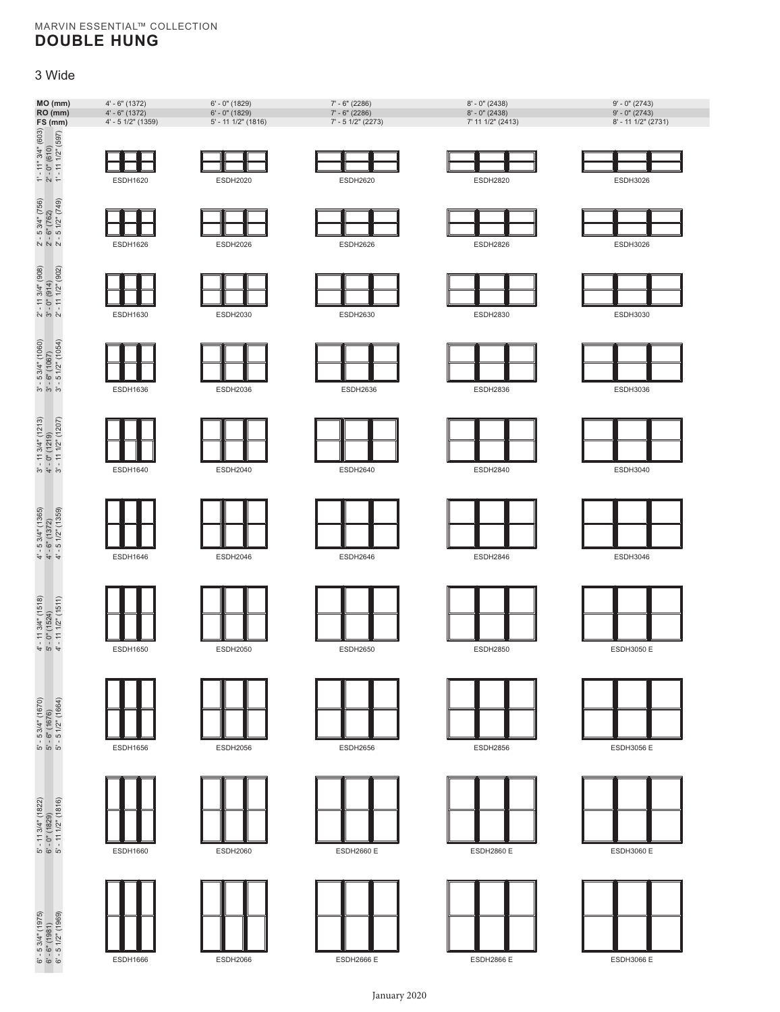#### MARVIN ESSENTIAL™ COLLECTION **DOUBLE HUNG**

#### 3 Wide



ESDH1666 ESDH2066 ESDH2666 E ESDH2866 E ESDH3066 E

January 2020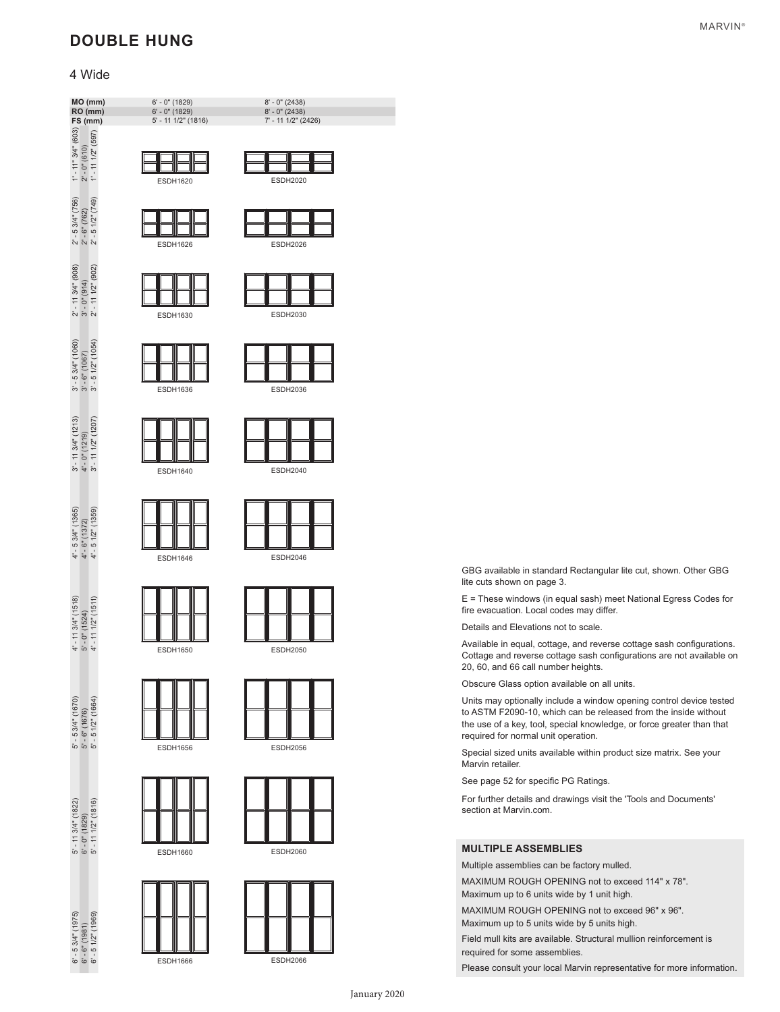# **DOUBLE HUNG**

#### 4 Wide



GBG available in standard Rectangular lite cut, shown. Other GBG lite cuts shown on page 3.

E = These windows (in equal sash) meet National Egress Codes for fire evacuation. Local codes may differ.

Details and Elevations not to scale.

Available in equal, cottage, and reverse cottage sash configurations. Cottage and reverse cottage sash configurations are not available on 20, 60, and 66 call number heights.

Obscure Glass option available on all units.

Units may optionally include a window opening control device tested to ASTM F2090-10, which can be released from the inside without the use of a key, tool, special knowledge, or force greater than that required for normal unit operation.

Special sized units available within product size matrix. See your Marvin retailer.

See page 52 for specific PG Ratings.

For further details and drawings visit the 'Tools and Documents' section at Marvin.com.

#### **MULTIPLE ASSEMBLIES**

Multiple assemblies can be factory mulled.

MAXIMUM ROUGH OPENING not to exceed 114" x 78". Maximum up to 6 units wide by 1 unit high.

MAXIMUM ROUGH OPENING not to exceed 96" x 96".

Maximum up to 5 units wide by 5 units high.

Field mull kits are available. Structural mullion reinforcement is required for some assemblies.

Please consult your local Marvin representative for more information.